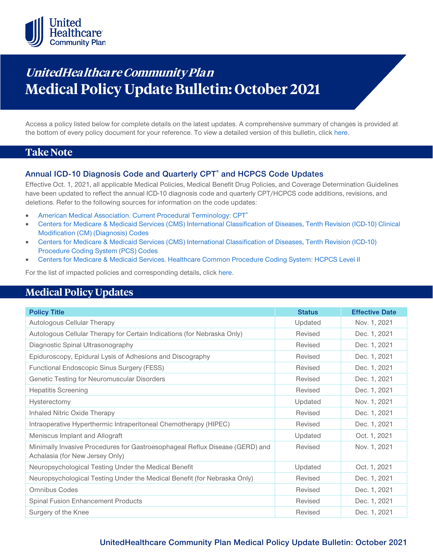

# **UnitedHealthcare Community Plan Medical Policy Update Bulletin: October 2021**

Access a policy listed below for complete details on the latest updates. A comprehensive summary of changes is provided at the bottom of every policy document for your reference. To view a detailed version of this bulletin, clic[k here.](https://www.uhcprovider.com/content/dam/provider/docs/public/policies/mpub-archives/comm-plan/community-plan-medical-policy-update-bulletin-october-2021-full.pdf)

### **Take Note**

### **Annual ICD-10 Diagnosis Code and Quarterly CPT® and HCPCS Code Updates**

Effective Oct. 1, 2021, all applicable Medical Policies, Medical Benefit Drug Policies, and Coverage Determination Guidelines have been updated to reflect the annual ICD-10 diagnosis code and quarterly CPT/HCPCS code additions, revisions, and deletions. Refer to the following sources for information on the code updates:

- American Medical Association. Current Procedural Terminology: CPT<sup>®</sup>
- [Centers for Medicare & Medicaid Services \(CMS\) International Classification of Diseases, Tenth Revision \(ICD-10\) Clinical](https://www.cms.gov/medicare/icd-10/2021-icd-10-cm)  [Modification \(CM\) \(Diagnosis\) Codes](https://www.cms.gov/medicare/icd-10/2021-icd-10-cm)
- [Centers for Medicare & Medicaid Services \(CMS\) International Classification of Diseases, Tenth Revision \(ICD-10\)](https://www.cms.gov/medicare/icd-10/2021-icd-10-pcs)  [Procedure Coding System \(PCS\) Codes](https://www.cms.gov/medicare/icd-10/2021-icd-10-pcs)
- [Centers for Medicare & Medicaid Services. Healthcare Common Procedure Coding System: HCPCS Level II](https://www.cms.gov/Medicare/Coding/MedHCPCSGenInfo/index.html)

For the list of impacted policies and corresponding details, click [here.](https://www.uhcprovider.com/content/dam/provider/docs/public/policies/mpub-archives/comm-plan/community-plan-medical-policy-update-bulletin-october-2021-full.pdf)

### **Medical Policy Updates**

| <b>Policy Title</b>                                                                                             | <b>Status</b> | <b>Effective Date</b> |
|-----------------------------------------------------------------------------------------------------------------|---------------|-----------------------|
| Autologous Cellular Therapy                                                                                     | Updated       | Nov. 1, 2021          |
| Autologous Cellular Therapy for Certain Indications (for Nebraska Only)                                         | Revised       | Dec. 1, 2021          |
| Diagnostic Spinal Ultrasonography                                                                               | Revised       | Dec. 1, 2021          |
| Epiduroscopy, Epidural Lysis of Adhesions and Discography                                                       | Revised       | Dec. 1, 2021          |
| Functional Endoscopic Sinus Surgery (FESS)                                                                      | Revised       | Dec. 1, 2021          |
| Genetic Testing for Neuromuscular Disorders                                                                     | Revised       | Dec. 1, 2021          |
| <b>Hepatitis Screening</b>                                                                                      | Revised       | Dec. 1, 2021          |
| Hysterectomy                                                                                                    | Updated       | Nov. 1, 2021          |
| Inhaled Nitric Oxide Therapy                                                                                    | Revised       | Dec. 1, 2021          |
| Intraoperative Hyperthermic Intraperitoneal Chemotherapy (HIPEC)                                                | Revised       | Dec. 1, 2021          |
| Meniscus Implant and Allograft                                                                                  | Updated       | Oct. 1, 2021          |
| Minimally Invasive Procedures for Gastroesophageal Reflux Disease (GERD) and<br>Achalasia (for New Jersey Only) | Revised       | Nov. 1, 2021          |
| Neuropsychological Testing Under the Medical Benefit                                                            | Updated       | Oct. 1, 2021          |
| Neuropsychological Testing Under the Medical Benefit (for Nebraska Only)                                        | Revised       | Dec. 1, 2021          |
| Omnibus Codes                                                                                                   | Revised       | Dec. 1, 2021          |
| Spinal Fusion Enhancement Products                                                                              | Revised       | Dec. 1, 2021          |
| Surgery of the Knee                                                                                             | Revised       | Dec. 1, 2021          |

### **UnitedHealthcare Community Plan Medical Policy Update Bulletin: October 2021**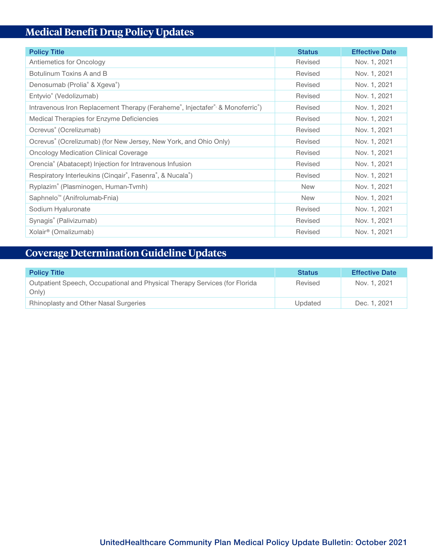## **Medical Benefit Drug Policy Updates**

| <b>Policy Title</b>                                                         | <b>Status</b> | <b>Effective Date</b> |
|-----------------------------------------------------------------------------|---------------|-----------------------|
| Antiemetics for Oncology                                                    | Revised       | Nov. 1, 2021          |
| Botulinum Toxins A and B                                                    | Revised       | Nov. 1, 2021          |
| Denosumab (Prolia <sup>®</sup> & Xgeva <sup>®</sup> )                       | Revised       | Nov. 1, 2021          |
| Entyvio <sup>®</sup> (Vedolizumab)                                          | Revised       | Nov. 1, 2021          |
| Intravenous Iron Replacement Therapy (Feraheme®, Injectafer® & Monoferric®) | Revised       | Nov. 1, 2021          |
| Medical Therapies for Enzyme Deficiencies                                   | Revised       | Nov. 1, 2021          |
| Ocrevus <sup>®</sup> (Ocrelizumab)                                          | Revised       | Nov. 1, 2021          |
| Ocrevus® (Ocrelizumab) (for New Jersey, New York, and Ohio Only)            | Revised       | Nov. 1, 2021          |
| <b>Oncology Medication Clinical Coverage</b>                                | Revised       | Nov. 1, 2021          |
| Orencia® (Abatacept) Injection for Intravenous Infusion                     | Revised       | Nov. 1, 2021          |
| Respiratory Interleukins (Cinqair®, Fasenra®, & Nucala®)                    | Revised       | Nov. 1, 2021          |
| Ryplazim® (Plasminogen, Human-Tvmh)                                         | <b>New</b>    | Nov. 1, 2021          |
| Saphnelo <sup>™</sup> (Anifrolumab-Fnia)                                    | <b>New</b>    | Nov. 1, 2021          |
| Sodium Hyaluronate                                                          | Revised       | Nov. 1, 2021          |
| Synagis® (Palivizumab)                                                      | Revised       | Nov. 1, 2021          |
| Xolair <sup>®</sup> (Omalizumab)                                            | Revised       | Nov. 1, 2021          |

## **Coverage Determination Guideline Updates**

| <b>Policy Title</b>                                                                 | <b>Status</b> | <b>Effective Date</b> |
|-------------------------------------------------------------------------------------|---------------|-----------------------|
| Outpatient Speech, Occupational and Physical Therapy Services (for Florida<br>Only) | Revised       | Nov. 1, 2021          |
| <b>Rhinoplasty and Other Nasal Surgeries</b>                                        | Updated       | Dec. 1, 2021          |